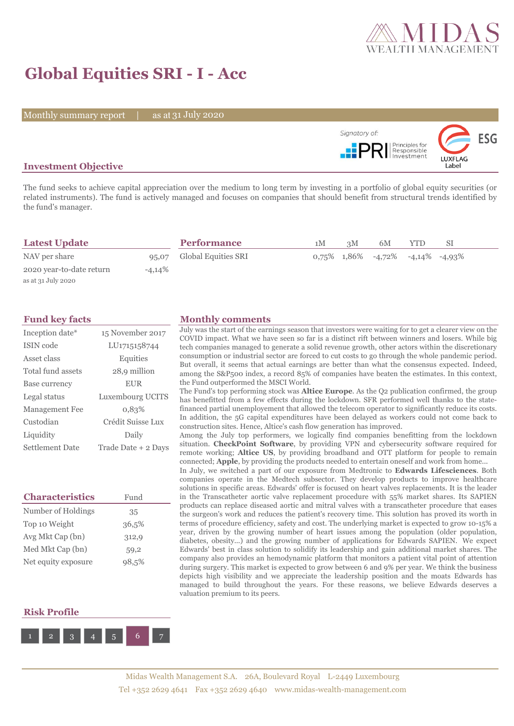

# **Global Equities SRI - I - Acc**

Monthly summary report | as at 31 July 2020



# **Investment Objective**

The fund seeks to achieve capital appreciation over the medium to long term by investing in a portfolio of global equity securities (or related instruments). The fund is actively managed and focuses on companies that should benefit from structural trends identified by the fund's manager.

| <b>Latest Update</b>     |          | <b>Performance</b>        | 1M | 3M | 6M                                              |  |  |
|--------------------------|----------|---------------------------|----|----|-------------------------------------------------|--|--|
| NAV per share            |          | 95,07 Global Equities SRI |    |    | $0.75\%$ $1.86\%$ $-4.72\%$ $-4.14\%$ $-4.93\%$ |  |  |
| 2020 year-to-date return | $-4,14%$ |                           |    |    |                                                 |  |  |
| as at 31 July 2020       |          |                           |    |    |                                                 |  |  |

| Inception date*        | 15 November 2017    |
|------------------------|---------------------|
| ISIN code              | LU1715158744        |
| Asset class            | Equities            |
| Total fund assets      | 28,9 million        |
| Base currency          | <b>EUR</b>          |
| Legal status           | Luxembourg UCITS    |
| Management Fee         | 0.83%               |
| Custodian              | Crédit Suisse Lux   |
| Liquidity              | Daily               |
| <b>Settlement Date</b> | Trade Date + 2 Days |

| <b>Characteristics</b> | Fund  |
|------------------------|-------|
| Number of Holdings     | 35    |
| Top 10 Weight          | 36,5% |
| Avg Mkt Cap (bn)       | 312,9 |
| Med Mkt Cap (bn)       | 59,2  |
| Net equity exposure    | 98,5% |

### **Fund key facts Monthly comments**

July was the start of the earnings season that investors were waiting for to get a clearer view on the COVID impact. What we have seen so far is a distinct rift between winners and losers. While big tech companies managed to generate a solid revenue growth, other actors within the discretionary consumption or industrial sector are forced to cut costs to go through the whole pandemic period. But overall, it seems that actual earnings are better than what the consensus expected. Indeed, among the S&P500 index, a record 85% of companies have beaten the estimates. In this context, the Fund outperformed the MSCI World.

The Fund's top performing stock was **Altice Europe**. As the Q2 publication confirmed, the group has benefitted from a few effects during the lockdown. SFR performed well thanks to the statefinanced partial unemployement that allowed the telecom operator to significantly reduce its costs. In addition, the 5G capital expenditures have been delayed as workers could not come back to construction sites. Hence, Altice's cash flow generation has improved.

Among the July top performers, we logically find companies benefitting from the lockdown situation. **CheckPoint Software**, by providing VPN and cybersecurity software required for remote working; **Altice US**, by providing broadband and OTT platform for people to remain connected; **Apple**, by providing the products needed to entertain oneself and work from home...

In July, we switched a part of our exposure from Medtronic to **Edwards Lifesciences**. Both companies operate in the Medtech subsector. They develop products to improve healthcare solutions in specific areas. Edwards' offer is focused on heart valves replacements. It is the leader in the Transcatheter aortic valve replacement procedure with 55% market shares. Its SAPIEN products can replace diseased aortic and mitral valves with a transcatheter procedure that eases the surgeon's work and reduces the patient's recovery time. This solution has proved its worth in terms of procedure efficiency, safety and cost. The underlying market is expected to grow 10-15% a year, driven by the growing number of heart issues among the population (older population, diabetes, obesity...) and the growing number of applications for Edwards SAPIEN. We expect Edwards' best in class solution to solidify its leadership and gain additional market shares. The company also provides an hemodynamic platform that monitors a patient vital point of attention during surgery. This market is expected to grow between 6 and 9% per year. We think the business depicts high visibility and we appreciate the leadership position and the moats Edwards has managed to build throughout the years. For these reasons, we believe Edwards deserves a valuation premium to its peers.

## **Risk Profile**